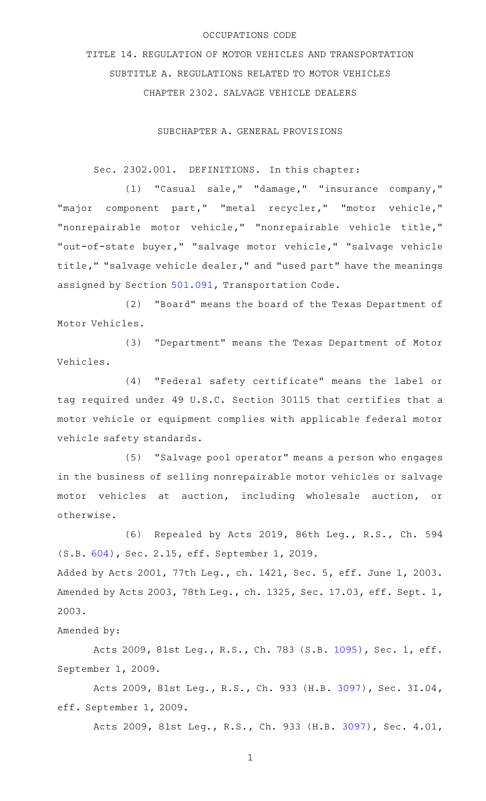#### OCCUPATIONS CODE

TITLE 14. REGULATION OF MOTOR VEHICLES AND TRANSPORTATION SUBTITLE A. REGULATIONS RELATED TO MOTOR VEHICLES CHAPTER 2302. SALVAGE VEHICLE DEALERS

SUBCHAPTER A. GENERAL PROVISIONS

Sec. 2302.001. DEFINITIONS. In this chapter:

(1) "Casual sale," "damage," "insurance company," "major component part," "metal recycler," "motor vehicle," "nonrepairable motor vehicle," "nonrepairable vehicle title," "out-of-state buyer," "salvage motor vehicle," "salvage vehicle title," "salvage vehicle dealer," and "used part" have the meanings assigned by Section [501.091](http://www.statutes.legis.state.tx.us/GetStatute.aspx?Code=TN&Value=501.091), Transportation Code.

(2) "Board" means the board of the Texas Department of Motor Vehicles.

(3) "Department" means the Texas Department of Motor Vehicles.

(4) "Federal safety certificate" means the label or tag required under 49 U.S.C. Section 30115 that certifies that a motor vehicle or equipment complies with applicable federal motor vehicle safety standards.

(5) "Salvage pool operator" means a person who engages in the business of selling nonrepairable motor vehicles or salvage motor vehicles at auction, including wholesale auction, or otherwise.

(6) Repealed by Acts 2019, 86th Leg., R.S., Ch. 594 (S.B. [604](http://www.legis.state.tx.us/tlodocs/86R/billtext/html/SB00604F.HTM)), Sec. 2.15, eff. September 1, 2019.

Added by Acts 2001, 77th Leg., ch. 1421, Sec. 5, eff. June 1, 2003. Amended by Acts 2003, 78th Leg., ch. 1325, Sec. 17.03, eff. Sept. 1, 2003.

Amended by:

Acts 2009, 81st Leg., R.S., Ch. 783 (S.B. [1095](http://www.legis.state.tx.us/tlodocs/81R/billtext/html/SB01095F.HTM)), Sec. 1, eff. September 1, 2009.

Acts 2009, 81st Leg., R.S., Ch. 933 (H.B. [3097\)](http://www.legis.state.tx.us/tlodocs/81R/billtext/html/HB03097F.HTM), Sec. 3I.04, eff. September 1, 2009.

Acts 2009, 81st Leg., R.S., Ch. 933 (H.B. [3097\)](http://www.legis.state.tx.us/tlodocs/81R/billtext/html/HB03097F.HTM), Sec. 4.01,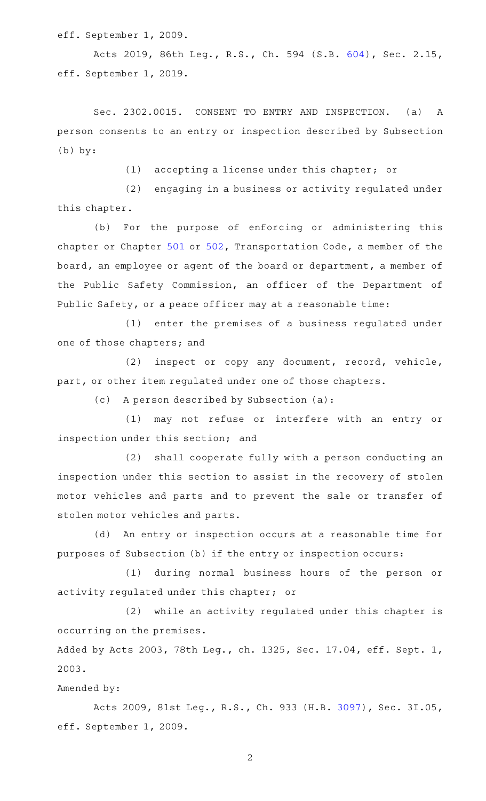eff. September 1, 2009.

Acts 2019, 86th Leg., R.S., Ch. 594 (S.B. [604](http://www.legis.state.tx.us/tlodocs/86R/billtext/html/SB00604F.HTM)), Sec. 2.15, eff. September 1, 2019.

Sec. 2302.0015. CONSENT TO ENTRY AND INSPECTION. (a) A person consents to an entry or inspection described by Subsection (b) by:

(1) accepting a license under this chapter; or

(2) engaging in a business or activity regulated under this chapter.

(b) For the purpose of enforcing or administering this chapter or Chapter [501](http://www.statutes.legis.state.tx.us/GetStatute.aspx?Code=TN&Value=501) or [502,](http://www.statutes.legis.state.tx.us/GetStatute.aspx?Code=TN&Value=502) Transportation Code, a member of the board, an employee or agent of the board or department, a member of the Public Safety Commission, an officer of the Department of Public Safety, or a peace officer may at a reasonable time:

(1) enter the premises of a business regulated under one of those chapters; and

(2) inspect or copy any document, record, vehicle, part, or other item regulated under one of those chapters.

 $(c)$  A person described by Subsection  $(a):$ 

(1) may not refuse or interfere with an entry or inspection under this section; and

(2) shall cooperate fully with a person conducting an inspection under this section to assist in the recovery of stolen motor vehicles and parts and to prevent the sale or transfer of stolen motor vehicles and parts.

(d) An entry or inspection occurs at a reasonable time for purposes of Subsection (b) if the entry or inspection occurs:

(1) during normal business hours of the person or activity regulated under this chapter; or

(2) while an activity regulated under this chapter is occurring on the premises.

Added by Acts 2003, 78th Leg., ch. 1325, Sec. 17.04, eff. Sept. 1, 2003.

Amended by:

Acts 2009, 81st Leg., R.S., Ch. 933 (H.B. [3097\)](http://www.legis.state.tx.us/tlodocs/81R/billtext/html/HB03097F.HTM), Sec. 3I.05, eff. September 1, 2009.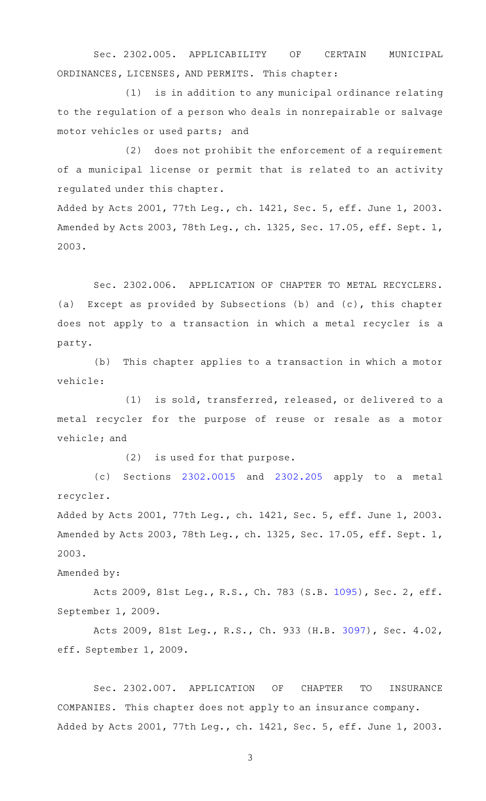Sec. 2302.005. APPLICABILITY OF CERTAIN MUNICIPAL ORDINANCES, LICENSES, AND PERMITS. This chapter:

(1) is in addition to any municipal ordinance relating to the regulation of a person who deals in nonrepairable or salvage motor vehicles or used parts; and

 $(2)$  does not prohibit the enforcement of a requirement of a municipal license or permit that is related to an activity regulated under this chapter.

Added by Acts 2001, 77th Leg., ch. 1421, Sec. 5, eff. June 1, 2003. Amended by Acts 2003, 78th Leg., ch. 1325, Sec. 17.05, eff. Sept. 1, 2003.

Sec. 2302.006. APPLICATION OF CHAPTER TO METAL RECYCLERS. (a) Except as provided by Subsections (b) and (c), this chapter does not apply to a transaction in which a metal recycler is a party.

(b) This chapter applies to a transaction in which a motor vehicle:

(1) is sold, transferred, released, or delivered to a metal recycler for the purpose of reuse or resale as a motor vehicle; and

 $(2)$  is used for that purpose.

(c) Sections  $2302.0015$  and  $2302.205$  apply to a metal recycler.

Added by Acts 2001, 77th Leg., ch. 1421, Sec. 5, eff. June 1, 2003. Amended by Acts 2003, 78th Leg., ch. 1325, Sec. 17.05, eff. Sept. 1, 2003.

Amended by:

Acts 2009, 81st Leg., R.S., Ch. 783 (S.B. [1095](http://www.legis.state.tx.us/tlodocs/81R/billtext/html/SB01095F.HTM)), Sec. 2, eff. September 1, 2009.

Acts 2009, 81st Leg., R.S., Ch. 933 (H.B. [3097\)](http://www.legis.state.tx.us/tlodocs/81R/billtext/html/HB03097F.HTM), Sec. 4.02, eff. September 1, 2009.

Sec. 2302.007. APPLICATION OF CHAPTER TO INSURANCE COMPANIES. This chapter does not apply to an insurance company. Added by Acts 2001, 77th Leg., ch. 1421, Sec. 5, eff. June 1, 2003.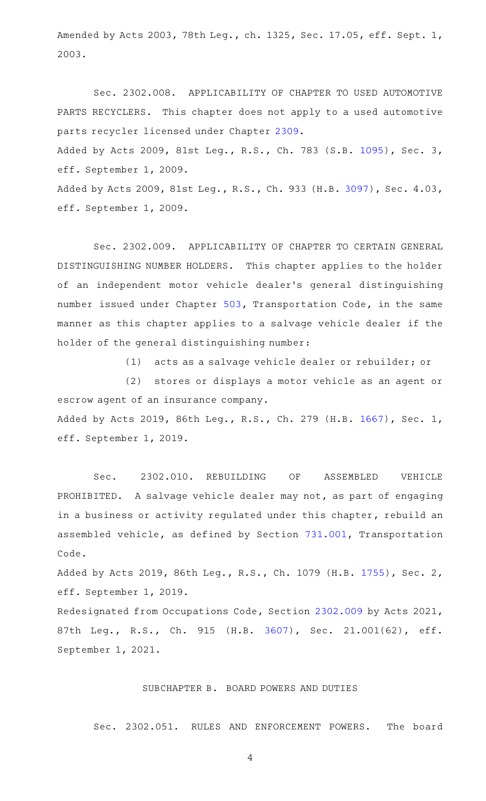Amended by Acts 2003, 78th Leg., ch. 1325, Sec. 17.05, eff. Sept. 1, 2003.

Sec. 2302.008. APPLICABILITY OF CHAPTER TO USED AUTOMOTIVE PARTS RECYCLERS. This chapter does not apply to a used automotive parts recycler licensed under Chapter [2309](http://www.statutes.legis.state.tx.us/GetStatute.aspx?Code=OC&Value=2309). Added by Acts 2009, 81st Leg., R.S., Ch. 783 (S.B. [1095](http://www.legis.state.tx.us/tlodocs/81R/billtext/html/SB01095F.HTM)), Sec. 3, eff. September 1, 2009. Added by Acts 2009, 81st Leg., R.S., Ch. 933 (H.B. [3097](http://www.legis.state.tx.us/tlodocs/81R/billtext/html/HB03097F.HTM)), Sec. 4.03,

eff. September 1, 2009.

Sec. 2302.009. APPLICABILITY OF CHAPTER TO CERTAIN GENERAL DISTINGUISHING NUMBER HOLDERS. This chapter applies to the holder of an independent motor vehicle dealer 's general distinguishing number issued under Chapter [503,](http://www.statutes.legis.state.tx.us/GetStatute.aspx?Code=TN&Value=503) Transportation Code, in the same manner as this chapter applies to a salvage vehicle dealer if the holder of the general distinguishing number:

(1) acts as a salvage vehicle dealer or rebuilder; or

(2) stores or displays a motor vehicle as an agent or escrow agent of an insurance company. Added by Acts 2019, 86th Leg., R.S., Ch. 279 (H.B. [1667](http://www.legis.state.tx.us/tlodocs/86R/billtext/html/HB01667F.HTM)), Sec. 1, eff. September 1, 2019.

Sec. 2302.010. REBUILDING OF ASSEMBLED VEHICLE PROHIBITED. A salvage vehicle dealer may not, as part of engaging in a business or activity regulated under this chapter, rebuild an assembled vehicle, as defined by Section [731.001,](http://www.statutes.legis.state.tx.us/GetStatute.aspx?Code=TN&Value=731.001) Transportation Code.

Added by Acts 2019, 86th Leg., R.S., Ch. 1079 (H.B. [1755\)](http://www.legis.state.tx.us/tlodocs/86R/billtext/html/HB01755F.HTM), Sec. 2, eff. September 1, 2019.

Redesignated from Occupations Code, Section [2302.009](http://www.statutes.legis.state.tx.us/GetStatute.aspx?Code=OC&Value=2302.009) by Acts 2021, 87th Leg., R.S., Ch. 915 (H.B. [3607](http://www.legis.state.tx.us/tlodocs/87R/billtext/html/HB03607F.HTM)), Sec. 21.001(62), eff. September 1, 2021.

## SUBCHAPTER B. BOARD POWERS AND DUTIES

Sec. 2302.051. RULES AND ENFORCEMENT POWERS. The board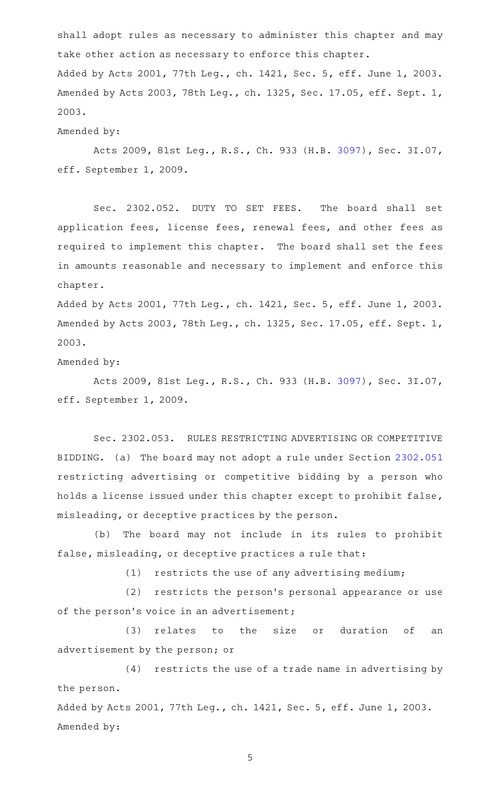shall adopt rules as necessary to administer this chapter and may take other action as necessary to enforce this chapter. Added by Acts 2001, 77th Leg., ch. 1421, Sec. 5, eff. June 1, 2003. Amended by Acts 2003, 78th Leg., ch. 1325, Sec. 17.05, eff. Sept. 1, 2003.

Amended by:

Acts 2009, 81st Leg., R.S., Ch. 933 (H.B. [3097\)](http://www.legis.state.tx.us/tlodocs/81R/billtext/html/HB03097F.HTM), Sec. 3I.07, eff. September 1, 2009.

Sec. 2302.052. DUTY TO SET FEES. The board shall set application fees, license fees, renewal fees, and other fees as required to implement this chapter. The board shall set the fees in amounts reasonable and necessary to implement and enforce this chapter.

Added by Acts 2001, 77th Leg., ch. 1421, Sec. 5, eff. June 1, 2003. Amended by Acts 2003, 78th Leg., ch. 1325, Sec. 17.05, eff. Sept. 1, 2003.

Amended by:

Acts 2009, 81st Leg., R.S., Ch. 933 (H.B. [3097\)](http://www.legis.state.tx.us/tlodocs/81R/billtext/html/HB03097F.HTM), Sec. 3I.07, eff. September 1, 2009.

Sec. 2302.053. RULES RESTRICTING ADVERTISING OR COMPETITIVE BIDDING. (a) The board may not adopt a rule under Section [2302.051](http://www.statutes.legis.state.tx.us/GetStatute.aspx?Code=OC&Value=2302.051) restricting advertising or competitive bidding by a person who holds a license issued under this chapter except to prohibit false, misleading, or deceptive practices by the person.

(b) The board may not include in its rules to prohibit false, misleading, or deceptive practices a rule that:

 $(1)$  restricts the use of any advertising medium;

(2) restricts the person's personal appearance or use of the person's voice in an advertisement;

(3) relates to the size or duration of an advertisement by the person; or

 $(4)$  restricts the use of a trade name in advertising by the person.

Added by Acts 2001, 77th Leg., ch. 1421, Sec. 5, eff. June 1, 2003. Amended by: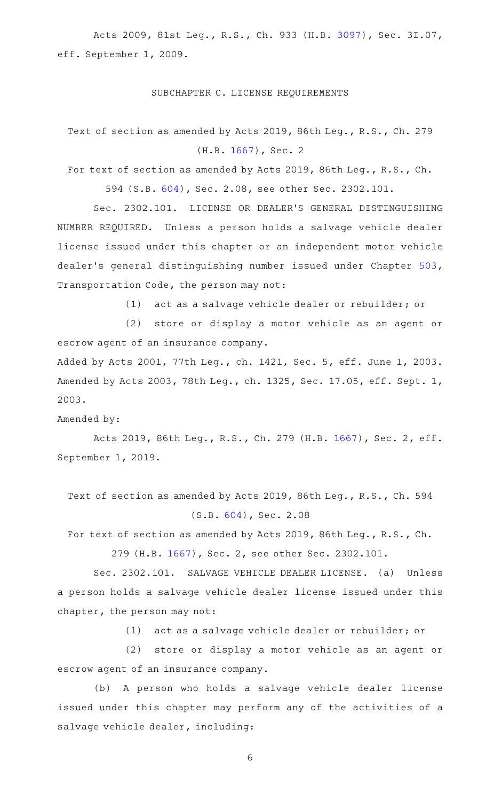Acts 2009, 81st Leg., R.S., Ch. 933 (H.B. [3097\)](http://www.legis.state.tx.us/tlodocs/81R/billtext/html/HB03097F.HTM), Sec. 3I.07, eff. September 1, 2009.

#### SUBCHAPTER C. LICENSE REQUIREMENTS

Text of section as amended by Acts 2019, 86th Leg., R.S., Ch. 279 (H.B. [1667\)](http://www.legis.state.tx.us/tlodocs/86R/billtext/html/HB01667F.HTM), Sec. 2

For text of section as amended by Acts 2019, 86th Leg., R.S., Ch. 594 (S.B. [604\)](http://www.legis.state.tx.us/tlodocs/86R/billtext/html/SB00604F.HTM), Sec. 2.08, see other Sec. 2302.101.

Sec. 2302.101. LICENSE OR DEALER'S GENERAL DISTINGUISHING NUMBER REQUIRED. Unless a person holds a salvage vehicle dealer license issued under this chapter or an independent motor vehicle dealer 's general distinguishing number issued under Chapter [503](http://www.statutes.legis.state.tx.us/GetStatute.aspx?Code=TN&Value=503), Transportation Code, the person may not:

(1) act as a salvage vehicle dealer or rebuilder; or

(2) store or display a motor vehicle as an agent or escrow agent of an insurance company.

Added by Acts 2001, 77th Leg., ch. 1421, Sec. 5, eff. June 1, 2003. Amended by Acts 2003, 78th Leg., ch. 1325, Sec. 17.05, eff. Sept. 1, 2003.

Amended by:

Acts 2019, 86th Leg., R.S., Ch. 279 (H.B. [1667](http://www.legis.state.tx.us/tlodocs/86R/billtext/html/HB01667F.HTM)), Sec. 2, eff. September 1, 2019.

Text of section as amended by Acts 2019, 86th Leg., R.S., Ch. 594 (S.B. [604\)](http://www.legis.state.tx.us/tlodocs/86R/billtext/html/SB00604F.HTM), Sec. 2.08

For text of section as amended by Acts 2019, 86th Leg., R.S., Ch.

279 (H.B. [1667\)](http://www.legis.state.tx.us/tlodocs/86R/billtext/html/HB01667F.HTM), Sec. 2, see other Sec. 2302.101.

Sec. 2302.101. SALVAGE VEHICLE DEALER LICENSE. (a) Unless a person holds a salvage vehicle dealer license issued under this chapter, the person may not:

(1) act as a salvage vehicle dealer or rebuilder; or

(2) store or display a motor vehicle as an agent or escrow agent of an insurance company.

(b) A person who holds a salvage vehicle dealer license issued under this chapter may perform any of the activities of a salvage vehicle dealer, including: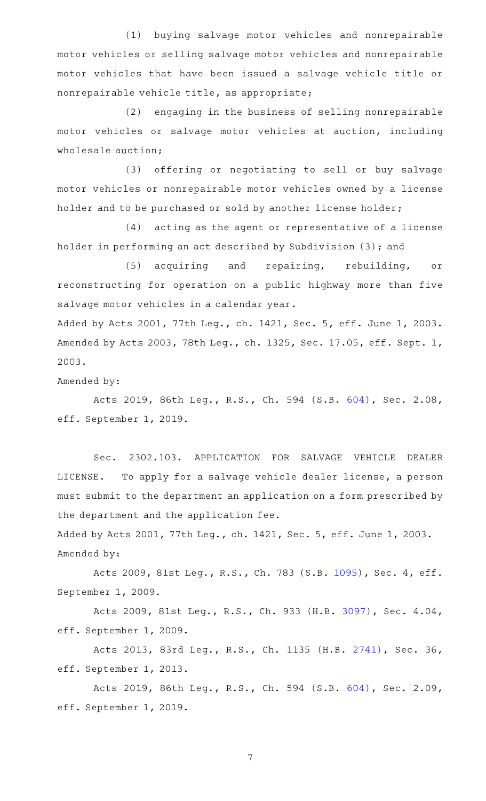(1) buying salvage motor vehicles and nonrepairable motor vehicles or selling salvage motor vehicles and nonrepairable motor vehicles that have been issued a salvage vehicle title or nonrepairable vehicle title, as appropriate;

(2) engaging in the business of selling nonrepairable motor vehicles or salvage motor vehicles at auction, including wholesale auction;

(3) offering or negotiating to sell or buy salvage motor vehicles or nonrepairable motor vehicles owned by a license holder and to be purchased or sold by another license holder;

(4) acting as the agent or representative of a license holder in performing an act described by Subdivision (3); and

(5) acquiring and repairing, rebuilding, or reconstructing for operation on a public highway more than five salvage motor vehicles in a calendar year.

Added by Acts 2001, 77th Leg., ch. 1421, Sec. 5, eff. June 1, 2003. Amended by Acts 2003, 78th Leg., ch. 1325, Sec. 17.05, eff. Sept. 1, 2003.

Amended by:

Acts 2019, 86th Leg., R.S., Ch. 594 (S.B. [604](http://www.legis.state.tx.us/tlodocs/86R/billtext/html/SB00604F.HTM)), Sec. 2.08, eff. September 1, 2019.

Sec. 2302.103. APPLICATION FOR SALVAGE VEHICLE DEALER LICENSE. To apply for a salvage vehicle dealer license, a person must submit to the department an application on a form prescribed by the department and the application fee.

Added by Acts 2001, 77th Leg., ch. 1421, Sec. 5, eff. June 1, 2003. Amended by:

Acts 2009, 81st Leg., R.S., Ch. 783 (S.B. [1095](http://www.legis.state.tx.us/tlodocs/81R/billtext/html/SB01095F.HTM)), Sec. 4, eff. September 1, 2009.

Acts 2009, 81st Leg., R.S., Ch. 933 (H.B. [3097\)](http://www.legis.state.tx.us/tlodocs/81R/billtext/html/HB03097F.HTM), Sec. 4.04, eff. September 1, 2009.

Acts 2013, 83rd Leg., R.S., Ch. 1135 (H.B. [2741](http://www.legis.state.tx.us/tlodocs/83R/billtext/html/HB02741F.HTM)), Sec. 36, eff. September 1, 2013.

Acts 2019, 86th Leg., R.S., Ch. 594 (S.B. [604](http://www.legis.state.tx.us/tlodocs/86R/billtext/html/SB00604F.HTM)), Sec. 2.09, eff. September 1, 2019.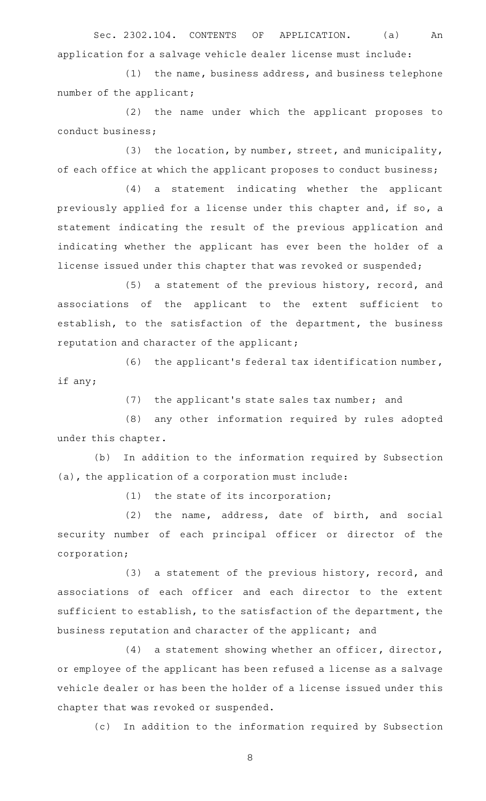Sec. 2302.104. CONTENTS OF APPLICATION. (a) An application for a salvage vehicle dealer license must include:

 $(1)$  the name, business address, and business telephone number of the applicant;

(2) the name under which the applicant proposes to conduct business;

 $(3)$  the location, by number, street, and municipality, of each office at which the applicant proposes to conduct business;

(4) a statement indicating whether the applicant previously applied for a license under this chapter and, if so, a statement indicating the result of the previous application and indicating whether the applicant has ever been the holder of a license issued under this chapter that was revoked or suspended;

 $(5)$  a statement of the previous history, record, and associations of the applicant to the extent sufficient to establish, to the satisfaction of the department, the business reputation and character of the applicant;

(6) the applicant's federal tax identification number, if any;

 $(7)$  the applicant's state sales tax number; and

(8) any other information required by rules adopted under this chapter.

(b) In addition to the information required by Subsection (a), the application of a corporation must include:

 $(1)$  the state of its incorporation;

 $(2)$  the name, address, date of birth, and social security number of each principal officer or director of the corporation;

 $(3)$  a statement of the previous history, record, and associations of each officer and each director to the extent sufficient to establish, to the satisfaction of the department, the business reputation and character of the applicant; and

 $(4)$  a statement showing whether an officer, director, or employee of the applicant has been refused a license as a salvage vehicle dealer or has been the holder of a license issued under this chapter that was revoked or suspended.

(c) In addition to the information required by Subsection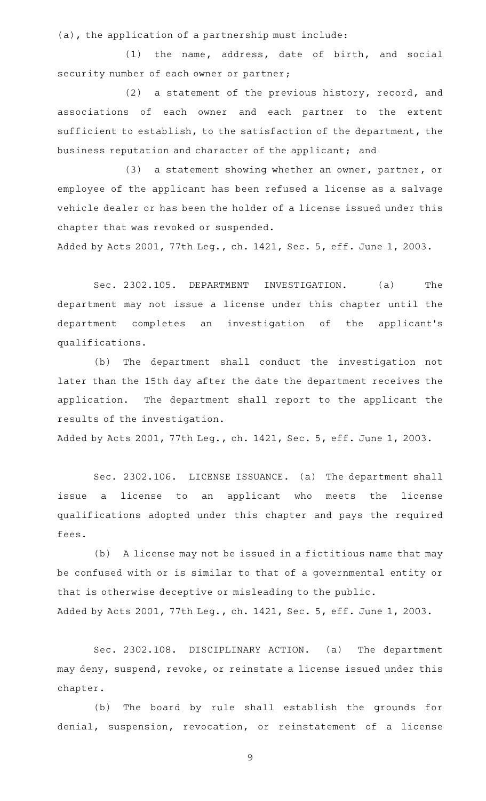(a), the application of a partnership must include:

 $(1)$  the name, address, date of birth, and social security number of each owner or partner;

(2) a statement of the previous history, record, and associations of each owner and each partner to the extent sufficient to establish, to the satisfaction of the department, the business reputation and character of the applicant; and

(3) a statement showing whether an owner, partner, or employee of the applicant has been refused a license as a salvage vehicle dealer or has been the holder of a license issued under this chapter that was revoked or suspended.

Added by Acts 2001, 77th Leg., ch. 1421, Sec. 5, eff. June 1, 2003.

Sec. 2302.105. DEPARTMENT INVESTIGATION. (a) The department may not issue a license under this chapter until the department completes an investigation of the applicant 's qualifications.

(b) The department shall conduct the investigation not later than the 15th day after the date the department receives the application. The department shall report to the applicant the results of the investigation.

Added by Acts 2001, 77th Leg., ch. 1421, Sec. 5, eff. June 1, 2003.

Sec. 2302.106. LICENSE ISSUANCE. (a) The department shall issue a license to an applicant who meets the license qualifications adopted under this chapter and pays the required fees.

(b) A license may not be issued in a fictitious name that may be confused with or is similar to that of a governmental entity or that is otherwise deceptive or misleading to the public. Added by Acts 2001, 77th Leg., ch. 1421, Sec. 5, eff. June 1, 2003.

Sec. 2302.108. DISCIPLINARY ACTION. (a) The department may deny, suspend, revoke, or reinstate a license issued under this chapter.

(b) The board by rule shall establish the grounds for denial, suspension, revocation, or reinstatement of a license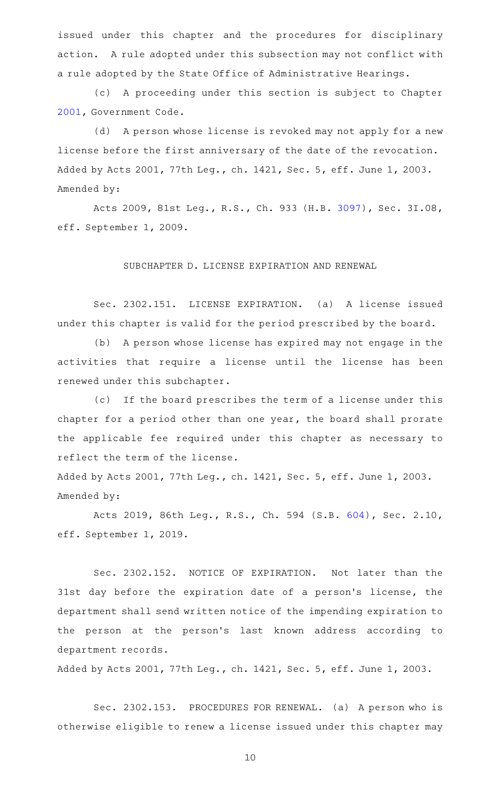issued under this chapter and the procedures for disciplinary action. A rule adopted under this subsection may not conflict with a rule adopted by the State Office of Administrative Hearings.

(c) A proceeding under this section is subject to Chapter [2001](http://www.statutes.legis.state.tx.us/GetStatute.aspx?Code=GV&Value=2001), Government Code.

(d) A person whose license is revoked may not apply for a new license before the first anniversary of the date of the revocation. Added by Acts 2001, 77th Leg., ch. 1421, Sec. 5, eff. June 1, 2003. Amended by:

Acts 2009, 81st Leg., R.S., Ch. 933 (H.B. [3097\)](http://www.legis.state.tx.us/tlodocs/81R/billtext/html/HB03097F.HTM), Sec. 3I.08, eff. September 1, 2009.

## SUBCHAPTER D. LICENSE EXPIRATION AND RENEWAL

Sec. 2302.151. LICENSE EXPIRATION. (a) A license issued under this chapter is valid for the period prescribed by the board.

(b) A person whose license has expired may not engage in the activities that require a license until the license has been renewed under this subchapter.

(c) If the board prescribes the term of a license under this chapter for a period other than one year, the board shall prorate the applicable fee required under this chapter as necessary to reflect the term of the license.

Added by Acts 2001, 77th Leg., ch. 1421, Sec. 5, eff. June 1, 2003. Amended by:

Acts 2019, 86th Leg., R.S., Ch. 594 (S.B. [604](http://www.legis.state.tx.us/tlodocs/86R/billtext/html/SB00604F.HTM)), Sec. 2.10, eff. September 1, 2019.

Sec. 2302.152. NOTICE OF EXPIRATION. Not later than the 31st day before the expiration date of a person's license, the department shall send written notice of the impending expiration to the person at the person's last known address according to department records.

Added by Acts 2001, 77th Leg., ch. 1421, Sec. 5, eff. June 1, 2003.

Sec. 2302.153. PROCEDURES FOR RENEWAL. (a) A person who is otherwise eligible to renew a license issued under this chapter may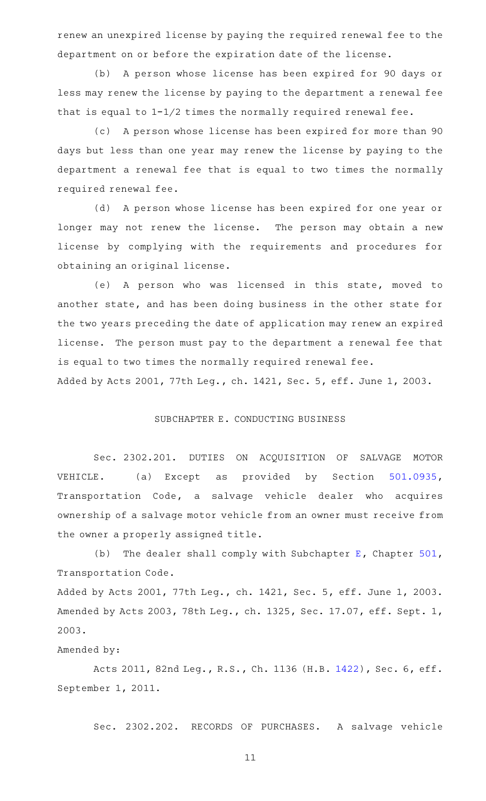renew an unexpired license by paying the required renewal fee to the department on or before the expiration date of the license.

(b) A person whose license has been expired for 90 days or less may renew the license by paying to the department a renewal fee that is equal to 1-1/2 times the normally required renewal fee.

(c) A person whose license has been expired for more than 90 days but less than one year may renew the license by paying to the department a renewal fee that is equal to two times the normally required renewal fee.

(d) A person whose license has been expired for one year or longer may not renew the license. The person may obtain a new license by complying with the requirements and procedures for obtaining an original license.

(e)AAA person who was licensed in this state, moved to another state, and has been doing business in the other state for the two years preceding the date of application may renew an expired license. The person must pay to the department a renewal fee that is equal to two times the normally required renewal fee. Added by Acts 2001, 77th Leg., ch. 1421, Sec. 5, eff. June 1, 2003.

#### SUBCHAPTER E. CONDUCTING BUSINESS

Sec. 2302.201. DUTIES ON ACQUISITION OF SALVAGE MOTOR VEHICLE. (a) Except as provided by Section [501.0935](http://www.statutes.legis.state.tx.us/GetStatute.aspx?Code=TN&Value=501.0935), Transportation Code, a salvage vehicle dealer who acquires ownership of a salvage motor vehicle from an owner must receive from the owner a properly assigned title.

(b) The dealer shall comply with Subchapter [E](http://www.statutes.legis.state.tx.us/GetStatute.aspx?Code=TN&Value=501.091), Chapter  $501$ , Transportation Code.

Added by Acts 2001, 77th Leg., ch. 1421, Sec. 5, eff. June 1, 2003. Amended by Acts 2003, 78th Leg., ch. 1325, Sec. 17.07, eff. Sept. 1, 2003.

## Amended by:

Acts 2011, 82nd Leg., R.S., Ch. 1136 (H.B. [1422](http://www.legis.state.tx.us/tlodocs/82R/billtext/html/HB01422F.HTM)), Sec. 6, eff. September 1, 2011.

Sec. 2302.202. RECORDS OF PURCHASES. A salvage vehicle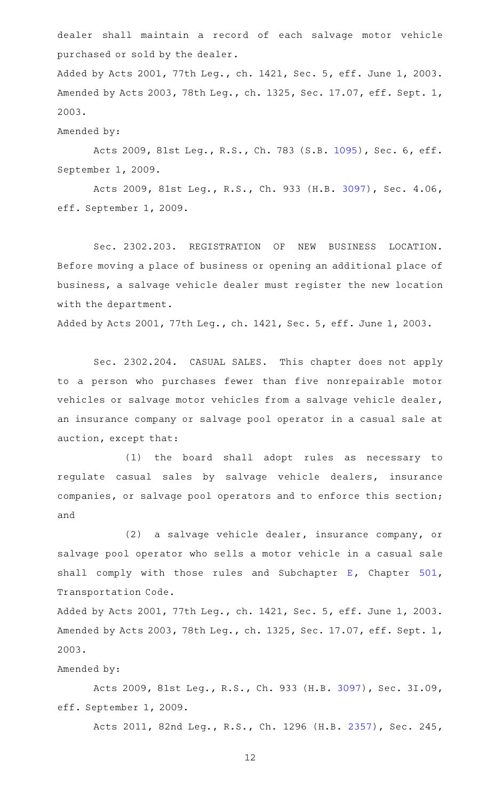dealer shall maintain a record of each salvage motor vehicle purchased or sold by the dealer.

Added by Acts 2001, 77th Leg., ch. 1421, Sec. 5, eff. June 1, 2003. Amended by Acts 2003, 78th Leg., ch. 1325, Sec. 17.07, eff. Sept. 1, 2003.

## Amended by:

Acts 2009, 81st Leg., R.S., Ch. 783 (S.B. [1095](http://www.legis.state.tx.us/tlodocs/81R/billtext/html/SB01095F.HTM)), Sec. 6, eff. September 1, 2009.

Acts 2009, 81st Leg., R.S., Ch. 933 (H.B. [3097\)](http://www.legis.state.tx.us/tlodocs/81R/billtext/html/HB03097F.HTM), Sec. 4.06, eff. September 1, 2009.

Sec. 2302.203. REGISTRATION OF NEW BUSINESS LOCATION. Before moving a place of business or opening an additional place of business, a salvage vehicle dealer must register the new location with the department.

Added by Acts 2001, 77th Leg., ch. 1421, Sec. 5, eff. June 1, 2003.

Sec. 2302.204. CASUAL SALES. This chapter does not apply to a person who purchases fewer than five nonrepairable motor vehicles or salvage motor vehicles from a salvage vehicle dealer, an insurance company or salvage pool operator in a casual sale at auction, except that:

(1) the board shall adopt rules as necessary to regulate casual sales by salvage vehicle dealers, insurance companies, or salvage pool operators and to enforce this section; and

(2) a salvage vehicle dealer, insurance company, or salvage pool operator who sells a motor vehicle in a casual sale shall comply with those rules and Subchapter [E,](http://www.statutes.legis.state.tx.us/GetStatute.aspx?Code=TN&Value=501.091) Chapter [501](http://www.statutes.legis.state.tx.us/GetStatute.aspx?Code=TN&Value=501), Transportation Code.

Added by Acts 2001, 77th Leg., ch. 1421, Sec. 5, eff. June 1, 2003. Amended by Acts 2003, 78th Leg., ch. 1325, Sec. 17.07, eff. Sept. 1, 2003.

### Amended by:

Acts 2009, 81st Leg., R.S., Ch. 933 (H.B. [3097\)](http://www.legis.state.tx.us/tlodocs/81R/billtext/html/HB03097F.HTM), Sec. 3I.09, eff. September 1, 2009.

Acts 2011, 82nd Leg., R.S., Ch. 1296 (H.B. [2357](http://www.legis.state.tx.us/tlodocs/82R/billtext/html/HB02357F.HTM)), Sec. 245,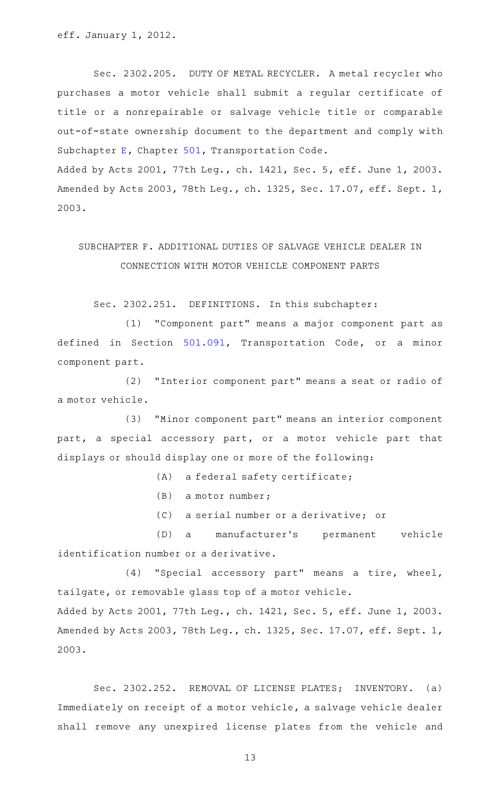eff. January 1, 2012.

Sec. 2302.205. DUTY OF METAL RECYCLER. A metal recycler who purchases a motor vehicle shall submit a regular certificate of title or a nonrepairable or salvage vehicle title or comparable out-of-state ownership document to the department and comply with Subchapter [E](http://www.statutes.legis.state.tx.us/GetStatute.aspx?Code=TN&Value=501.091), Chapter [501](http://www.statutes.legis.state.tx.us/GetStatute.aspx?Code=TN&Value=501), Transportation Code.

Added by Acts 2001, 77th Leg., ch. 1421, Sec. 5, eff. June 1, 2003. Amended by Acts 2003, 78th Leg., ch. 1325, Sec. 17.07, eff. Sept. 1, 2003.

# SUBCHAPTER F. ADDITIONAL DUTIES OF SALVAGE VEHICLE DEALER IN CONNECTION WITH MOTOR VEHICLE COMPONENT PARTS

Sec. 2302.251. DEFINITIONS. In this subchapter:

(1) "Component part" means a major component part as defined in Section [501.091,](http://www.statutes.legis.state.tx.us/GetStatute.aspx?Code=TN&Value=501.091) Transportation Code, or a minor component part.

(2) "Interior component part" means a seat or radio of a motor vehicle.

(3) "Minor component part" means an interior component part, a special accessory part, or a motor vehicle part that displays or should display one or more of the following:

 $(A)$  a federal safety certificate;

 $(B)$  a motor number;

(C) a serial number or a derivative; or

(D) a manufacturer's permanent vehicle identification number or a derivative.

(4) "Special accessory part" means a tire, wheel, tailgate, or removable glass top of a motor vehicle. Added by Acts 2001, 77th Leg., ch. 1421, Sec. 5, eff. June 1, 2003. Amended by Acts 2003, 78th Leg., ch. 1325, Sec. 17.07, eff. Sept. 1, 2003.

Sec. 2302.252. REMOVAL OF LICENSE PLATES; INVENTORY. (a) Immediately on receipt of a motor vehicle, a salvage vehicle dealer shall remove any unexpired license plates from the vehicle and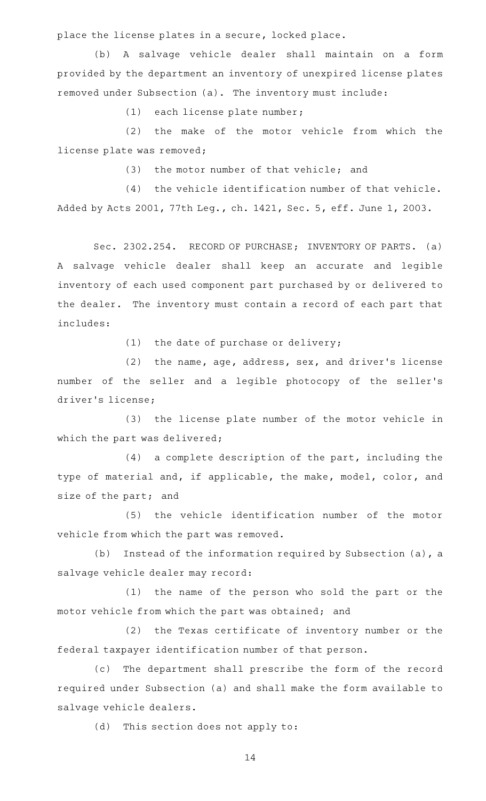place the license plates in a secure, locked place.

(b) A salvage vehicle dealer shall maintain on a form provided by the department an inventory of unexpired license plates removed under Subsection (a). The inventory must include:

(1) each license plate number;

(2) the make of the motor vehicle from which the license plate was removed;

(3) the motor number of that vehicle; and

 $(4)$  the vehicle identification number of that vehicle. Added by Acts 2001, 77th Leg., ch. 1421, Sec. 5, eff. June 1, 2003.

Sec. 2302.254. RECORD OF PURCHASE; INVENTORY OF PARTS. (a) A salvage vehicle dealer shall keep an accurate and legible inventory of each used component part purchased by or delivered to the dealer. The inventory must contain a record of each part that includes:

 $(1)$  the date of purchase or delivery;

 $(2)$  the name, age, address, sex, and driver's license number of the seller and a legible photocopy of the seller 's driver 's license;

(3) the license plate number of the motor vehicle in which the part was delivered;

 $(4)$  a complete description of the part, including the type of material and, if applicable, the make, model, color, and size of the part; and

(5) the vehicle identification number of the motor vehicle from which the part was removed.

(b) Instead of the information required by Subsection  $(a)$ , a salvage vehicle dealer may record:

(1) the name of the person who sold the part or the motor vehicle from which the part was obtained; and

(2) the Texas certificate of inventory number or the federal taxpayer identification number of that person.

(c) The department shall prescribe the form of the record required under Subsection (a) and shall make the form available to salvage vehicle dealers.

(d) This section does not apply to: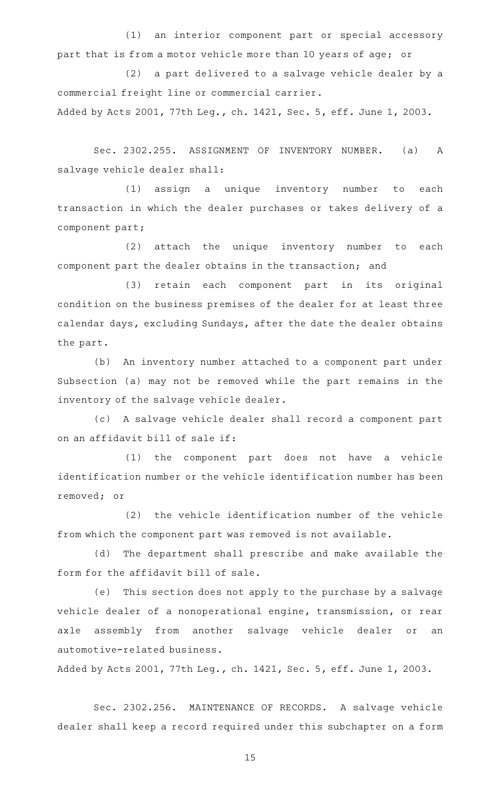(1) an interior component part or special accessory part that is from a motor vehicle more than 10 years of age; or

(2) a part delivered to a salvage vehicle dealer by a commercial freight line or commercial carrier.

Added by Acts 2001, 77th Leg., ch. 1421, Sec. 5, eff. June 1, 2003.

Sec. 2302.255. ASSIGNMENT OF INVENTORY NUMBER. (a) A salvage vehicle dealer shall:

(1) assign a unique inventory number to each transaction in which the dealer purchases or takes delivery of a component part;

(2) attach the unique inventory number to each component part the dealer obtains in the transaction; and

(3) retain each component part in its original condition on the business premises of the dealer for at least three calendar days, excluding Sundays, after the date the dealer obtains the part.

(b) An inventory number attached to a component part under Subsection (a) may not be removed while the part remains in the inventory of the salvage vehicle dealer.

(c) A salvage vehicle dealer shall record a component part on an affidavit bill of sale if:

(1) the component part does not have a vehicle identification number or the vehicle identification number has been removed; or

(2) the vehicle identification number of the vehicle from which the component part was removed is not available.

(d) The department shall prescribe and make available the form for the affidavit bill of sale.

(e) This section does not apply to the purchase by a salvage vehicle dealer of a nonoperational engine, transmission, or rear axle assembly from another salvage vehicle dealer or an automotive-related business.

Added by Acts 2001, 77th Leg., ch. 1421, Sec. 5, eff. June 1, 2003.

Sec. 2302.256. MAINTENANCE OF RECORDS. A salvage vehicle dealer shall keep a record required under this subchapter on a form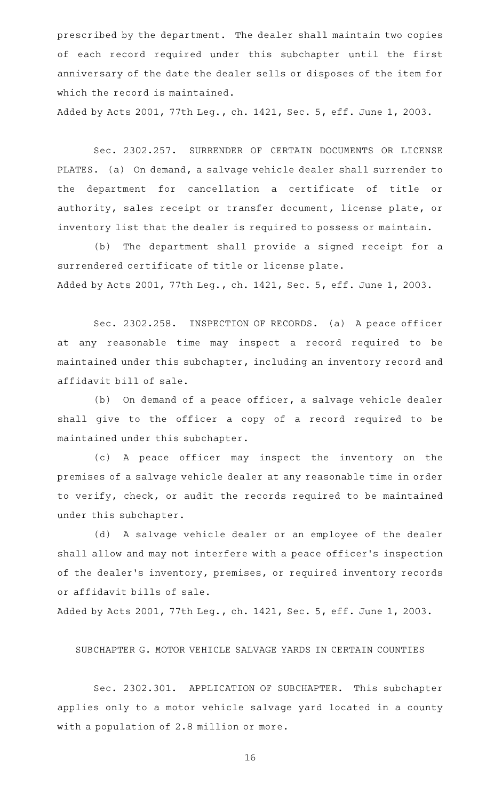prescribed by the department. The dealer shall maintain two copies of each record required under this subchapter until the first anniversary of the date the dealer sells or disposes of the item for which the record is maintained.

Added by Acts 2001, 77th Leg., ch. 1421, Sec. 5, eff. June 1, 2003.

Sec. 2302.257. SURRENDER OF CERTAIN DOCUMENTS OR LICENSE PLATES. (a) On demand, a salvage vehicle dealer shall surrender to the department for cancellation a certificate of title or authority, sales receipt or transfer document, license plate, or inventory list that the dealer is required to possess or maintain.

(b) The department shall provide a signed receipt for a surrendered certificate of title or license plate. Added by Acts 2001, 77th Leg., ch. 1421, Sec. 5, eff. June 1, 2003.

Sec. 2302.258. INSPECTION OF RECORDS. (a) A peace officer at any reasonable time may inspect a record required to be maintained under this subchapter, including an inventory record and affidavit bill of sale.

(b) On demand of a peace officer, a salvage vehicle dealer shall give to the officer a copy of a record required to be maintained under this subchapter.

(c)AAA peace officer may inspect the inventory on the premises of a salvage vehicle dealer at any reasonable time in order to verify, check, or audit the records required to be maintained under this subchapter.

(d) A salvage vehicle dealer or an employee of the dealer shall allow and may not interfere with a peace officer 's inspection of the dealer 's inventory, premises, or required inventory records or affidavit bills of sale.

Added by Acts 2001, 77th Leg., ch. 1421, Sec. 5, eff. June 1, 2003.

SUBCHAPTER G. MOTOR VEHICLE SALVAGE YARDS IN CERTAIN COUNTIES

Sec. 2302.301. APPLICATION OF SUBCHAPTER. This subchapter applies only to a motor vehicle salvage yard located in a county with a population of 2.8 million or more.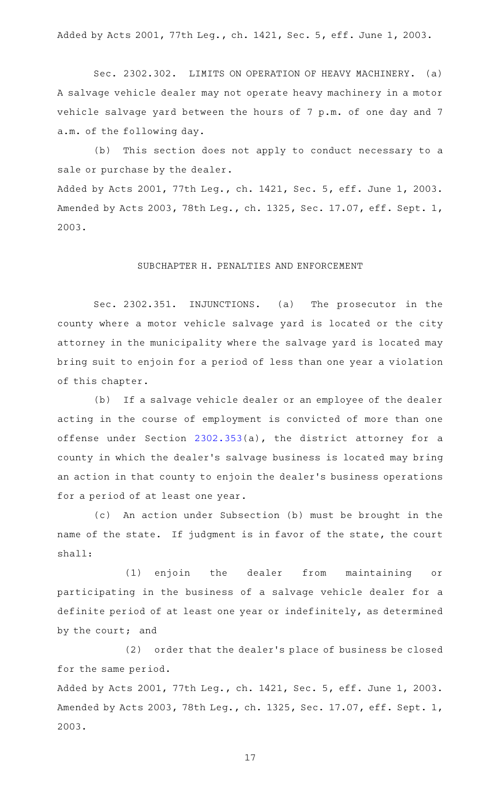Added by Acts 2001, 77th Leg., ch. 1421, Sec. 5, eff. June 1, 2003.

Sec. 2302.302. LIMITS ON OPERATION OF HEAVY MACHINERY. (a) A salvage vehicle dealer may not operate heavy machinery in a motor vehicle salvage yard between the hours of 7 p.m. of one day and 7 a.m. of the following day.

(b) This section does not apply to conduct necessary to a sale or purchase by the dealer.

Added by Acts 2001, 77th Leg., ch. 1421, Sec. 5, eff. June 1, 2003. Amended by Acts 2003, 78th Leg., ch. 1325, Sec. 17.07, eff. Sept. 1, 2003.

# SUBCHAPTER H. PENALTIES AND ENFORCEMENT

Sec. 2302.351. INJUNCTIONS. (a) The prosecutor in the county where a motor vehicle salvage yard is located or the city attorney in the municipality where the salvage yard is located may bring suit to enjoin for a period of less than one year a violation of this chapter.

(b) If a salvage vehicle dealer or an employee of the dealer acting in the course of employment is convicted of more than one offense under Section [2302.353](http://www.statutes.legis.state.tx.us/GetStatute.aspx?Code=OC&Value=2302.353)(a), the district attorney for a county in which the dealer 's salvage business is located may bring an action in that county to enjoin the dealer 's business operations for a period of at least one year.

(c) An action under Subsection (b) must be brought in the name of the state. If judgment is in favor of the state, the court shall:

(1) enjoin the dealer from maintaining or participating in the business of a salvage vehicle dealer for a definite period of at least one year or indefinitely, as determined by the court; and

(2) order that the dealer's place of business be closed for the same period.

Added by Acts 2001, 77th Leg., ch. 1421, Sec. 5, eff. June 1, 2003. Amended by Acts 2003, 78th Leg., ch. 1325, Sec. 17.07, eff. Sept. 1, 2003.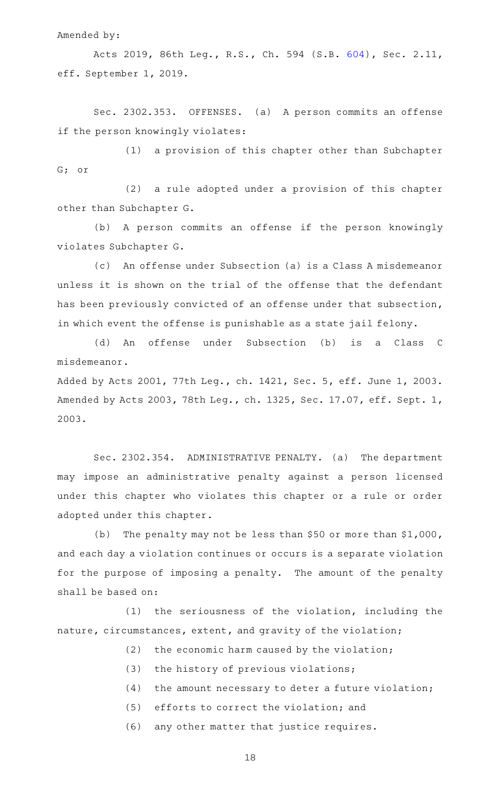Amended by:

Acts 2019, 86th Leg., R.S., Ch. 594 (S.B. [604](http://www.legis.state.tx.us/tlodocs/86R/billtext/html/SB00604F.HTM)), Sec. 2.11, eff. September 1, 2019.

Sec. 2302.353. OFFENSES. (a) A person commits an offense if the person knowingly violates:

(1) a provision of this chapter other than Subchapter G; or

 $(2)$  a rule adopted under a provision of this chapter other than Subchapter G.

(b) A person commits an offense if the person knowingly violates Subchapter G.

(c) An offense under Subsection (a) is a Class A misdemeanor unless it is shown on the trial of the offense that the defendant has been previously convicted of an offense under that subsection, in which event the offense is punishable as a state jail felony.

(d) An offense under Subsection (b) is a Class C misdemeanor.

Added by Acts 2001, 77th Leg., ch. 1421, Sec. 5, eff. June 1, 2003. Amended by Acts 2003, 78th Leg., ch. 1325, Sec. 17.07, eff. Sept. 1, 2003.

Sec. 2302.354. ADMINISTRATIVE PENALTY. (a) The department may impose an administrative penalty against a person licensed under this chapter who violates this chapter or a rule or order adopted under this chapter.

(b) The penalty may not be less than \$50 or more than  $$1,000$ , and each day a violation continues or occurs is a separate violation for the purpose of imposing a penalty. The amount of the penalty shall be based on:

 $(1)$  the seriousness of the violation, including the nature, circumstances, extent, and gravity of the violation;

- $(2)$  the economic harm caused by the violation;
- (3) the history of previous violations;
- $(4)$  the amount necessary to deter a future violation;
- (5) efforts to correct the violation; and
- (6) any other matter that justice requires.